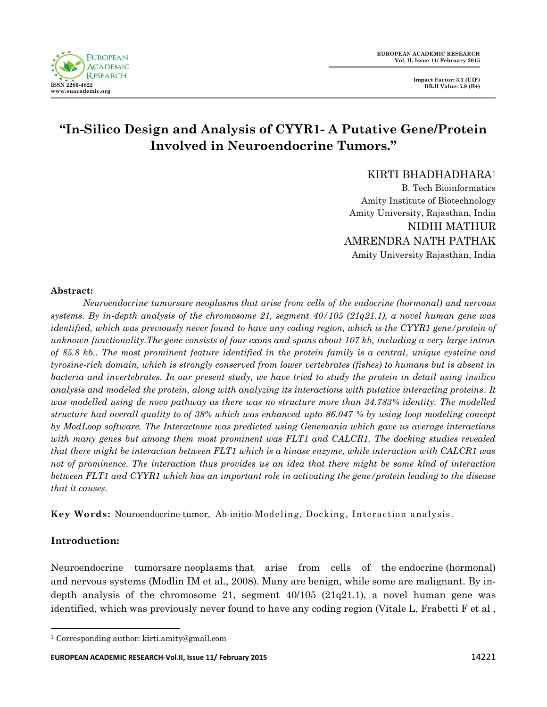

# **"In-Silico Design and Analysis of CYYR1- A Putative Gene/Protein Involved in Neuroendocrine Tumors."**

KIRTI BHADHADHARA<sup>1</sup>

B. Tech Bioinformatics Amity Institute of Biotechnology Amity University, Rajasthan, India NIDHI MATHUR AMRENDRA NATH PATHAK Amity University Rajasthan, India

#### **Abstract:**

*Neuroendocrine tumorsare [neoplasms](http://en.wikipedia.org/wiki/Neoplasms) that arise from cells of the [endocrine](http://en.wikipedia.org/wiki/Endocrine) [\(hormonal\)](http://en.wikipedia.org/wiki/Hormonal) and [nervous](http://en.wikipedia.org/wiki/Nervous_system)  [systems. B](http://en.wikipedia.org/wiki/Nervous_system)y in-depth analysis of the chromosome 21, segment 40/105 (21q21.1), a novel human gene was identified, which was previously never found to have any coding region, which is the CYYR1 gene/protein of unknown functionality.The gene consists of four exons and spans about 107 kb, including a very large intron of 85.8 kb.. The most prominent feature identified in the protein family is a central, unique cysteine and tyrosine-rich domain, which is strongly conserved from lower vertebrates (fishes) to humans but is absent in bacteria and invertebrates. In our present study, we have tried to study the protein in detail using insilico analysis and modeled the protein, along with analyzing its interactions with putative interacting proteins. It*  was modelled using de novo pathway as there was no structure more than 34.783% identity. The modelled *structure had overall quality to of 38% which was enhanced upto 86.047 % by using loop modeling concept by ModLoop software. The Interactome was predicted using Genemania which gave us average interactions with many genes but among them most prominent was FLT1 and CALCR1. The docking studies revealed that there might be interaction between FLT1 which is a kinase enzyme, while interaction with CALCR1 was not of prominence. The interaction thus provides us an idea that there might be some kind of interaction between FLT1 and CYYR1 which has an important role in activating the gene/protein leading to the disease that it causes.*

**Key Words:** Neuroendocrine tumor, Ab-initio-Modeling, Docking, Interaction analysis.

# **Introduction:**

 $\ddot{\phantom{a}}$ 

Neuroendocrine tumorsare [neoplasms](http://en.wikipedia.org/wiki/Neoplasms) that arise from cells of the [endocrine](http://en.wikipedia.org/wiki/Endocrine) [\(hormonal\)](http://en.wikipedia.org/wiki/Hormonal) and [nervous systems \(](http://en.wikipedia.org/wiki/Nervous_system)Modlin IM et al., 2008). Many are [benign,](http://en.wikipedia.org/wiki/Benign) while some are malignant. By indepth analysis of the chromosome 21, segment  $40/105$  ( $21q21.1$ ), a novel human gene was identified, which was previously never found to have any coding region (Vitale L, Frabetti F et al ,

<sup>1</sup> Corresponding author: kirti.amity@gmail.com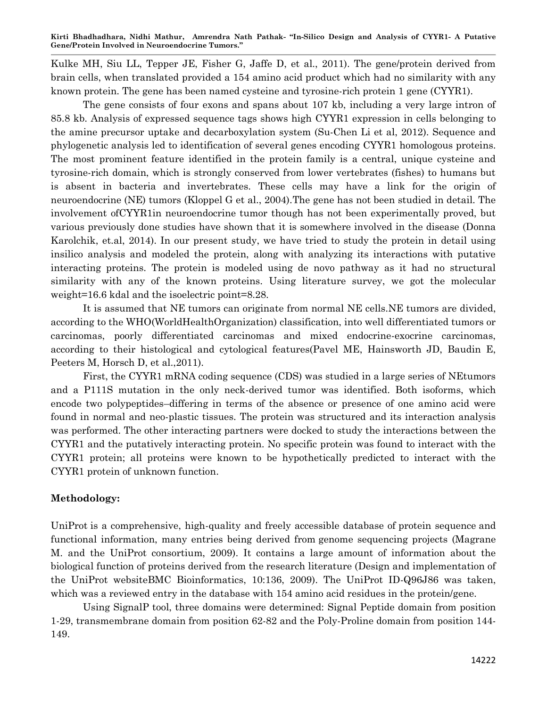Kulke MH, Siu LL, Tepper JE, Fisher G, Jaffe D, et al., 2011). The gene/protein derived from brain cells, when translated provided a 154 amino acid product which had no similarity with any known protein. The gene has been named cysteine and tyrosine-rich protein 1 gene (CYYR1).

The gene consists of four exons and spans about 107 kb, including a very large intron of 85.8 kb. Analysis of expressed sequence tags shows high CYYR1 expression in cells belonging to the amine precursor uptake and decarboxylation system (Su-Chen Li et al, 2012). Sequence and phylogenetic analysis led to identification of several genes encoding CYYR1 homologous proteins. The most prominent feature identified in the protein family is a central, unique cysteine and tyrosine-rich domain, which is strongly conserved from lower vertebrates (fishes) to humans but is absent in bacteria and invertebrates. These cells may have a link for the origin of neuroendocrine (NE) tumors (Kloppel G et al., 2004).The gene has not been studied in detail. The involvement ofCYYR1in neuroendocrine tumor though has not been experimentally proved, but various previously done studies have shown that it is somewhere involved in the disease (Donna Karolchik, et.al, 2014). In our present study, we have tried to study the protein in detail using insilico analysis and modeled the protein, along with analyzing its interactions with putative interacting proteins. The protein is modeled using de novo pathway as it had no structural similarity with any of the known proteins. Using literature survey, we got the molecular weight=16.6 kdal and the isoelectric point=8.28.

It is assumed that NE tumors can originate from normal NE cells.NE tumors are divided, according to the WHO(WorldHealthOrganization) classification, into well differentiated tumors or carcinomas, poorly differentiated carcinomas and mixed endocrine-exocrine carcinomas, according to their histological and cytological features(Pavel ME, Hainsworth JD, Baudin E, Peeters M, Horsch D, et al.,2011).

First, the CYYR1 mRNA coding sequence (CDS) was studied in a large series of NEtumors and a P111S mutation in the only neck-derived tumor was identified. Both isoforms, which encode two polypeptides–differing in terms of the absence or presence of one amino acid were found in normal and neo-plastic tissues. The protein was structured and its interaction analysis was performed. The other interacting partners were docked to study the interactions between the CYYR1 and the putatively interacting protein. No specific protein was found to interact with the CYYR1 protein; all proteins were known to be hypothetically predicted to interact with the CYYR1 protein of unknown function.

# **Methodology:**

UniProt is a comprehensive, high-quality and freely accessible database of [protein sequence](http://en.wikipedia.org/wiki/Protein_sequence) and functional information, many entries being derived from [genome sequencing projects \(](http://en.wikipedia.org/wiki/Genome_sequencing_project)Magrane M. and the UniProt consortium, 2009). It contains a large amount of information about the biological function of proteins derived from the research literature (Design and implementation of the UniProt websit[eBMC Bioinformatics, 10:136, 2009\).](http://dx.doi.org/doi:10.1186/1471-2105-10-136) The UniProt ID-Q96J86 was taken, which was a reviewed entry in the database with 154 amino acid residues in the protein/gene.

Using SignalP tool, three domains were determined: Signal Peptide domain from position 1-29, transmembrane domain from position 62-82 and the Poly-Proline domain from position 144- 149.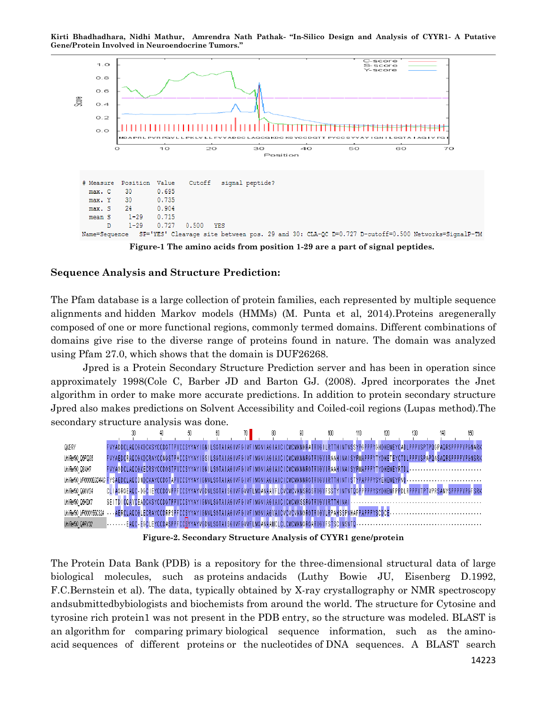**Kirti Bhadhadhara, Nidhi Mathur, Amrendra Nath Pathak- "In-Silico Design and Analysis of CYYR1- A Putative Gene/Protein Involved in Neuroendocrine Tumors."**



**Figure-1 The amino acids from position 1-29 are a part of signal peptides.**

#### **Sequence Analysis and Structure Prediction:**

The Pfam database is a large collection of protein families, each represented by multiple sequence alignments and hidden Markov models (HMMs) (M. Punta et al, 2014).Proteins aregenerally composed of one or more functional regions, commonly termed domains. Different combinations of domains give rise to the diverse range of proteins found in nature. The domain was analyzed using Pfam 27.0, which shows that the domain is DUF26268.

Jpred is a Protein Secondary Structure Prediction server and has been in operation since approximately 1998(Cole C, Barber JD and Barton GJ. (2008). Jpred incorporates the Jnet algorithm in order to make more accurate predictions. In addition to protein secondary structure Jpred also makes predictions on Solvent Accessibility and Coiled-coil regions (Lupas method).The secondary structure analysis was done.



**Figure-2. Secondary Structure Analysis of CYYR1 gene/protein**

The Protein Data Bank (PDB) is a repository for the three-dimensional structural data of large biological molecules, such as [proteins](http://en.wikipedia.org/wiki/Protein) andacids (Luthy Bowie JU, Eisenberg D.1992, F.C.Bernstein et al). The data, typically obtained by X-ray crystallography or NMR spectroscopy andsubmittedbybiologists and biochemists from around the world. The structure for Cytosine and tyrosine rich protein1 was not present in the PDB entry, so the structure was modeled. BLAST is an [algorithm](http://en.wikipedia.org/wiki/Algorithm) for comparing [primary](http://en.wikipedia.org/wiki/Primary_structure) biological sequence information, such as the [amino](http://en.wikipedia.org/wiki/Amino_acid)[acid](http://en.wikipedia.org/wiki/Amino_acid) sequences of different [proteins](http://en.wikipedia.org/wiki/Protein) or the [nucleotides](http://en.wikipedia.org/wiki/Nucleotide) of [DNA sequences.](http://en.wikipedia.org/wiki/DNA_sequence) A BLAST search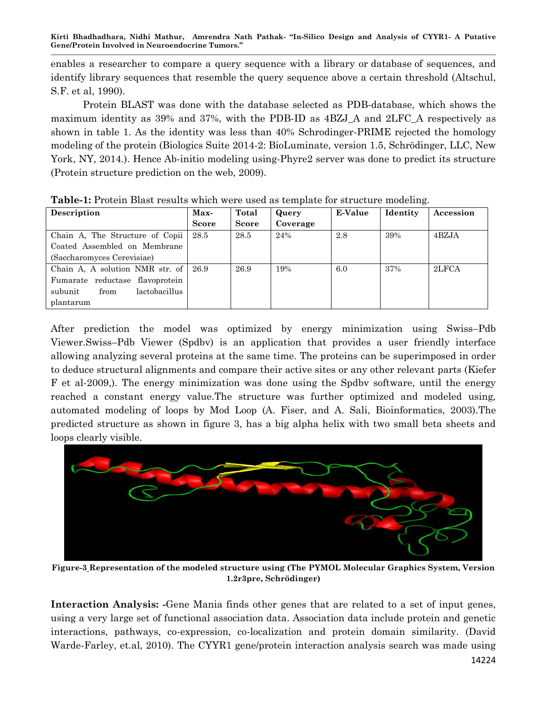enables a researcher to compare a query sequence with a library or [database](http://en.wikipedia.org/wiki/Database) of sequences, and identify library sequences that resemble the query sequence above a certain threshold (Altschul, S.F. et al, 1990).

Protein BLAST was done with the database selected as PDB-database, which shows the maximum identity as 39% and 37%, with the PDB-ID as 4BZJ\_A and 2LFC\_A respectively as shown in table 1. As the identity was less than 40% Schrodinger-PRIME rejected the homology modeling of the protein (Biologics Suite 2014-2: BioLuminate, version 1.5, Schrödinger, LLC, New York, NY, 2014.). Hence Ab-initio modeling using-Phyre2 server was done to predict its structure (Protein structure prediction on the web, 2009).

| <b>Description</b>               | Max-         | Total        | Query    | E-Value | Identity | Accession |
|----------------------------------|--------------|--------------|----------|---------|----------|-----------|
|                                  | <b>Score</b> | <b>Score</b> | Coverage |         |          |           |
| Chain A, The Structure of Copii  | 28.5         | 28.5         | 24%      | 2.8     | 39%      | 4BZJA     |
| Coated Assembled on Membrane     |              |              |          |         |          |           |
| (Saccharomyces Cerevisiae)       |              |              |          |         |          |           |
| Chain A, A solution NMR str. of  | 26.9         | 26.9         | 19%      | 6.0     | 37%      | 2LFCA     |
| Fumarate reductase flavoprotein  |              |              |          |         |          |           |
| lactobacillus<br>subunit<br>from |              |              |          |         |          |           |
| plantarum                        |              |              |          |         |          |           |

**Table-1:** Protein Blast results which were used as template for structure modeling.

After prediction the model was optimized by energy minimization using Swiss–Pdb Viewer.Swiss–Pdb Viewer (Spdbv) is an application that provides a user friendly interface allowing analyzing several proteins at the same time. The proteins can be superimposed in order to deduce structural alignments and compare their active sites or any other relevant parts (Kiefer F et al-2009,). [The](mailto:andras@fiserlab.org-2003).%20The) energy minimization was done using the Spdbv software, until the energy reached a constant energy value.The structure was further optimized and modeled using, automated modeling of loops by Mod Loop (A. Fiser, and A. Sali, Bioinformatics, 2003).The predicted structure as shown in figure 3, has a big alpha helix with two small beta sheets and loops clearly visible.



**Figure-3 Representation of the modeled structure using (The PYMOL Molecular Graphics System, Version 1.2r3pre, Schrödinger)**

**Interaction Analysis: -**Gene Mania finds other genes that are related to a set of input genes, using a very large set of functional association data. Association data include protein and genetic interactions, pathways, co-expression, co-localization and protein domain similarity. (David Warde-Farley, et.al, 2010). The CYYR1 gene/protein interaction analysis search was made using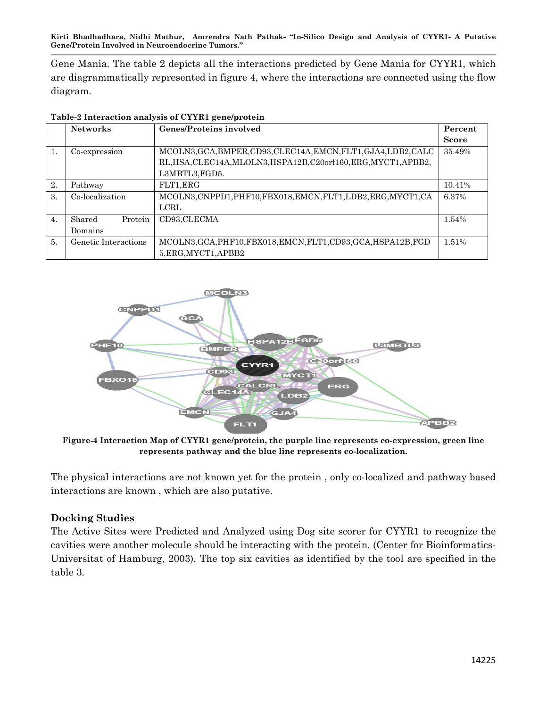Gene Mania. The table 2 depicts all the interactions predicted by Gene Mania for CYYR1, which are diagrammatically represented in figure 4, where the interactions are connected using the flow diagram.

|                  | <b>Networks</b>      | <b>Genes/Proteins involved</b>                                   |              |
|------------------|----------------------|------------------------------------------------------------------|--------------|
|                  |                      |                                                                  | <b>Score</b> |
| 1.               | Co-expression        | MCOLN3, GCA, BMPER, CD93, CLEC14A, EMCN, FLT1, GJA4, LDB2, CALC  |              |
|                  |                      | RL, HSA, CLEC14A, MLOLN3, HSPA12B, C20orf160, ERG, MYCT1, APBB2, |              |
|                  |                      | L3MBTL3, FGD5.                                                   |              |
| 2.               | Pathway              | FLT1, ERG                                                        | 10.41%       |
| 3.               | Co-localization      | MCOLN3, CNPPD1, PHF10, FBX018, EMCN, FLT1, LDB2, ERG, MYCT1, CA  | 6.37%        |
|                  |                      | LCRL                                                             |              |
| $\overline{4}$ . | Shared<br>Protein    | CD93.CLECMA                                                      | 1.54%        |
|                  | Domains              |                                                                  |              |
| 5.               | Genetic Interactions | MCOLN3, GCA, PHF10, FBX018, EMCN, FLT1, CD93, GCA, HSPA12B, FGD  | 1.51%        |
|                  |                      | 5, ERG, MYCT1, APBB2                                             |              |

**Table-2 Interaction analysis of CYYR1 gene/protein**



**Figure-4 Interaction Map of CYYR1 gene/protein, the purple line represents co-expression, green line represents pathway and the blue line represents co-localization.**

The physical interactions are not known yet for the protein , only co-localized and pathway based interactions are known , which are also putative.

# **Docking Studies**

The Active Sites were Predicted and Analyzed using Dog site scorer for CYYR1 to recognize the cavities were another molecule should be interacting with the protein. (Center for Bioinformatics-Universitat of Hamburg, 2003). The top six cavities as identified by the tool are specified in the table 3.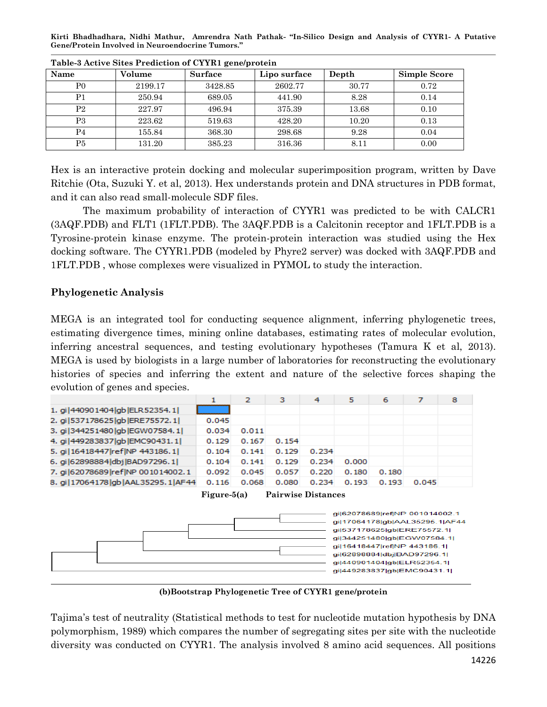| Table o Henve Shes I Fealed on of CTTIMI generation |         |                |              |       |              |  |  |
|-----------------------------------------------------|---------|----------------|--------------|-------|--------------|--|--|
| Name                                                | Volume  | <b>Surface</b> | Lipo surface | Depth | Simple Score |  |  |
| P0                                                  | 2199.17 | 3428.85        | 2602.77      | 30.77 | 0.72         |  |  |
| Ρ1                                                  | 250.94  | 689.05         | 441.90       | 8.28  | 0.14         |  |  |
| P <sub>2</sub>                                      | 227.97  | 496.94         | 375.39       | 13.68 | 0.10         |  |  |
| P3                                                  | 223.62  | 519.63         | 428.20       | 10.20 | 0.13         |  |  |
| P4                                                  | 155.84  | 368.30         | 298.68       | 9.28  | 0.04         |  |  |
| P5                                                  | 131.20  | 385.23         | 316.36       | 8.11  | 0.00         |  |  |

**Table-3 Active Sites Prediction of CYYR1 gene/protein**

Hex is an interactive protein docking and molecular superimposition program, written by Dave Ritchie (Ota, [Suzuki Y.](http://www.uniprot.org/uniprot/?query=author:%22Suzuki+Y.%22) et al, 2013). Hex understands protein and DNA structures in PDB format, and it can also read small-molecule SDF files.

The maximum probability of interaction of CYYR1 was predicted to be with CALCR1 (3AQF.PDB) and FLT1 (1FLT.PDB). The 3AQF.PDB is a Calcitonin receptor and 1FLT.PDB is a Tyrosine-protein kinase enzyme. The protein-protein interaction was studied using the Hex docking software. The CYYR1.PDB (modeled by Phyre2 server) was docked with 3AQF.PDB and 1FLT.PDB , whose complexes were visualized in PYMOL to study the interaction.

# **Phylogenetic Analysis**

MEGA is an integrated tool for conducting sequence alignment, inferring phylogenetic trees, estimating divergence times, mining online databases, estimating rates of molecular evolution, inferring ancestral sequences, and testing evolutionary hypotheses (Tamura K et al, 2013). MEGA is used by biologists in a large number of laboratories for reconstructing the evolutionary histories of species and inferring the extent and nature of the selective forces shaping the evolution of genes and species.

|                                                                                                | 1     | 2     | з     | 4     | 5     | 6     | 7     | 8 |
|------------------------------------------------------------------------------------------------|-------|-------|-------|-------|-------|-------|-------|---|
| 1. gi 440901404 gb ELR52354.1                                                                  |       |       |       |       |       |       |       |   |
| 2. gi 537178625   ab ERE75572.1                                                                | 0.045 |       |       |       |       |       |       |   |
| 3. qi 344251480   ab EGW07584.1                                                                | 0.034 | 0.011 |       |       |       |       |       |   |
| 4. qi 449283837   qb EMC90431.1                                                                | 0.129 | 0.167 | 0.154 |       |       |       |       |   |
| 5. gi   16418447   ref   NP 443186.1                                                           | 0.104 | 0.141 | 0.129 | 0.234 |       |       |       |   |
| 6. qi 62898884 dbj BAD97296.1                                                                  | 0.104 | 0.141 | 0.129 | 0.234 | 0.000 |       |       |   |
| 7. gi 62078689 ref NP 001014002.1                                                              | 0.092 | 0.045 | 0.057 | 0.220 | 0.180 | 0.180 |       |   |
| 8. gi   17064178   gb   AAL 35295. 1   AF 44                                                   | 0.116 | 0.068 | 0.080 | 0.234 | 0.193 | 0.193 | 0.045 |   |
| <b>Pairwise Distances</b><br>Figure- $5(a)$                                                    |       |       |       |       |       |       |       |   |
| gil62078689 ref NP 001014002.1<br>qi 17064178 qb AAL35295.1 AF44<br>gi 537178625 gb ERE75572.1 |       |       |       |       |       |       |       |   |



**(b)Bootstrap Phylogenetic Tree of CYYR1 gene/protein**

Tajima"s test of neutrality (Statistical methods to test for nucleotide mutation hypothesis by DNA polymorphism, 1989) which compares the number of segregating sites per site with the nucleotide diversity was conducted on CYYR1. The analysis involved 8 amino acid sequences. All positions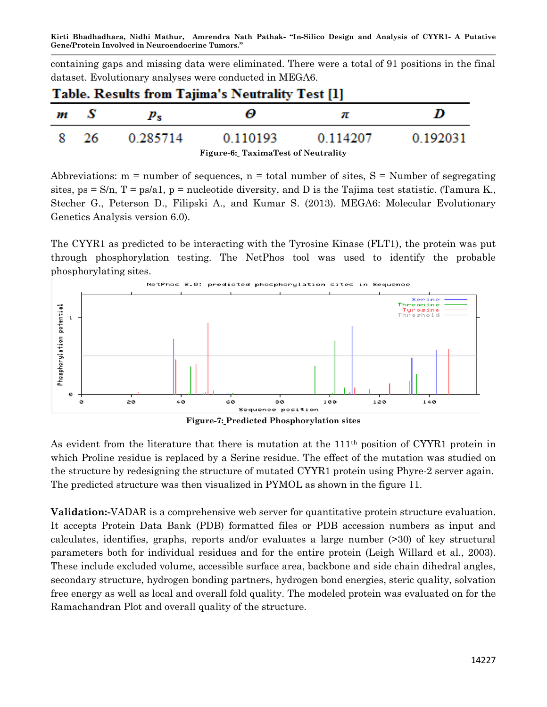containing gaps and missing data were eliminated. There were a total of 91 positions in the final dataset. Evolutionary analyses were conducted in MEGA6.

| <b>Table. Results from Tajima's Neutrality Test [1]</b> |    |             |          |          |          |  |
|---------------------------------------------------------|----|-------------|----------|----------|----------|--|
| m                                                       | -8 | $p_{\rm e}$ | ω        | π        | D        |  |
| -8                                                      | 26 | 0.285714    | 0.110193 | 0.114207 | 0.192031 |  |
| <b>Figure-6: TaximaTest of Neutrality</b>               |    |             |          |          |          |  |

Abbreviations:  $m =$  number of sequences,  $n =$  total number of sites,  $S =$  Number of segregating sites,  $ps = S/n$ ,  $T = ps/a1$ ,  $p = nucleotide$  diversity, and D is the Tajima test statistic. (Tamura K., Stecher G., Peterson D., Filipski A., and Kumar S. (2013). MEGA6: Molecular Evolutionary Genetics Analysis version 6.0).

The CYYR1 as predicted to be interacting with the Tyrosine Kinase (FLT1), the protein was put through phosphorylation testing. The NetPhos tool was used to identify the probable phosphorylating sites.



As evident from the literature that there is mutation at the 111<sup>th</sup> position of CYYR1 protein in which Proline residue is replaced by a Serine residue. The effect of the mutation was studied on the structure by redesigning the structure of mutated CYYR1 protein using Phyre-2 server again. The predicted structure was then visualized in PYMOL as shown in the figure 11.

**Validation:-**VADAR is a comprehensive web server for quantitative protein structure evaluation. It accepts Protein Data Bank (PDB) formatted files or PDB accession numbers as input and calculates, identifies, graphs, reports and/or evaluates a large number (>30) of key structural parameters both for individual residues and for the entire protein (Leigh Willard et al., 2003). These include excluded volume, accessible surface area, backbone and side chain dihedral angles, secondary structure, hydrogen bonding partners, hydrogen bond energies, steric quality, solvation free energy as well as local and overall fold quality. The modeled protein was evaluated on for the Ramachandran Plot and overall quality of the structure.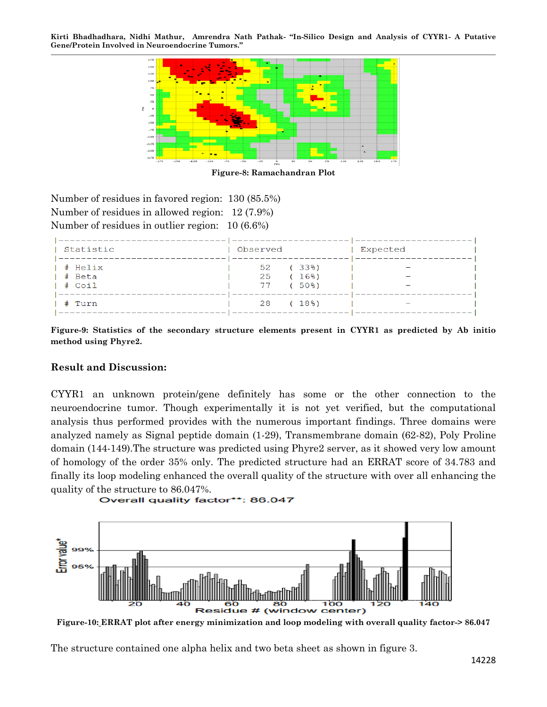

**Figure-8: [Ramachandran Plot](http://vadar.wishartlab.com/temp/1401354814/1401354814.m0.RAMA.png)**

Number of residues in favored region: 130 (85.5%) Number of residues in allowed region: 12 (7.9%) Number of residues in outlier region: 10 (6.6%)

| Statistic                             | Observed                         | Expected |
|---------------------------------------|----------------------------------|----------|
| $ $ # Helix<br>$ $ # Beta<br>  # Coil | 52 (33%)<br>25 (16%)<br>77 (50%) |          |
| # Turn                                | 28 (18%)                         |          |

**Figure-9: Statistics of the secondary structure elements present in CYYR1 as predicted by Ab initio method using Phyre2.**

#### **Result and Discussion:**

CYYR1 an unknown protein/gene definitely has some or the other connection to the neuroendocrine tumor. Though experimentally it is not yet verified, but the computational analysis thus performed provides with the numerous important findings. Three domains were analyzed namely as Signal peptide domain (1-29), Transmembrane domain (62-82), Poly Proline domain (144-149).The structure was predicted using Phyre2 server, as it showed very low amount of homology of the order 35% only. The predicted structure had an ERRAT score of 34.783 and finally its loop modeling enhanced the overall quality of the structure with over all enhancing the quality of the structure to 86.047%.

```
Overall quality factor**: 86.047
```


**Figure-10: ERRAT plot after energy minimization and loop modeling with overall quality factor-> 86.047**

The structure contained one alpha helix and two beta sheet as shown in figure 3.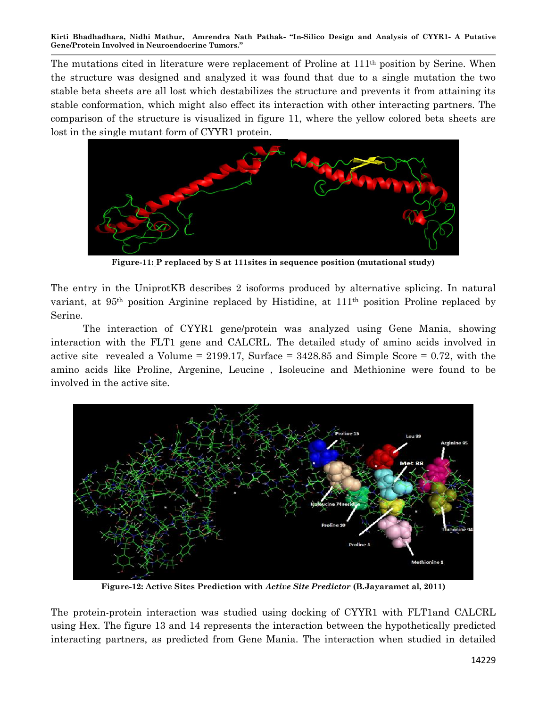The mutations cited in literature were replacement of Proline at 111<sup>th</sup> position by Serine. When the structure was designed and analyzed it was found that due to a single mutation the two stable beta sheets are all lost which destabilizes the structure and prevents it from attaining its stable conformation, which might also effect its interaction with other interacting partners. The comparison of the structure is visualized in figure 11, where the yellow colored beta sheets are lost in the single mutant form of CYYR1 protein.



**Figure-11: P replaced by S at 111sites in sequence position (mutational study)**

The entry in the UniprotKB describes 2 isoforms produced by alternative splicing. In natural variant, at 95th position Arginine replaced by Histidine, at 111th position Proline replaced by Serine.

The interaction of CYYR1 gene/protein was analyzed using Gene Mania, showing interaction with the FLT1 gene and CALCRL. The detailed study of amino acids involved in active site revealed a Volume = 2199.17, Surface =  $3428.85$  and Simple Score = 0.72, with the amino acids like Proline, Argenine, Leucine , Isoleucine and Methionine were found to be involved in the active site.



**Figure-12: Active Sites Prediction with** *Active Site Predictor* **(B.Jayaramet al, 2011)**

The protein-protein interaction was studied using docking of CYYR1 with FLT1and CALCRL using Hex. The figure 13 and 14 represents the interaction between the hypothetically predicted interacting partners, as predicted from Gene Mania. The interaction when studied in detailed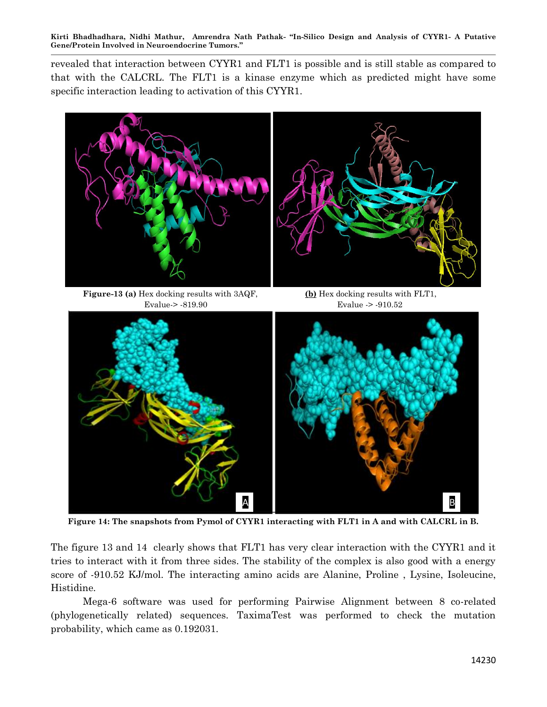revealed that interaction between CYYR1 and FLT1 is possible and is still stable as compared to that with the CALCRL. The FLT1 is a kinase enzyme which as predicted might have some specific interaction leading to activation of this CYYR1.



**Figure 14: The snapshots from Pymol of CYYR1 interacting with FLT1 in A and with CALCRL in B.**

The figure 13 and 14 clearly shows that FLT1 has very clear interaction with the CYYR1 and it tries to interact with it from three sides. The stability of the complex is also good with a energy score of -910.52 KJ/mol. The interacting amino acids are Alanine, Proline , Lysine, Isoleucine, Histidine.

Mega-6 software was used for performing Pairwise Alignment between 8 co-related (phylogenetically related) sequences. TaximaTest was performed to check the mutation probability, which came as 0.192031.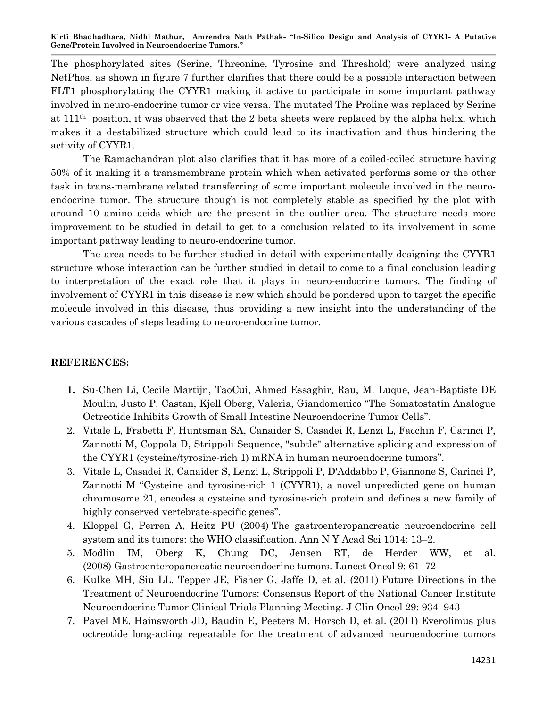The phosphorylated sites (Serine, Threonine, Tyrosine and Threshold) were analyzed using NetPhos, as shown in figure 7 further clarifies that there could be a possible interaction between FLT1 phosphorylating the CYYR1 making it active to participate in some important pathway involved in neuro-endocrine tumor or vice versa. The mutated The Proline was replaced by Serine at 111th position, it was observed that the 2 beta sheets were replaced by the alpha helix, which makes it a destabilized structure which could lead to its inactivation and thus hindering the activity of CYYR1.

The Ramachandran plot also clarifies that it has more of a coiled-coiled structure having 50% of it making it a transmembrane protein which when activated performs some or the other task in trans-membrane related transferring of some important molecule involved in the neuroendocrine tumor. The structure though is not completely stable as specified by the plot with around 10 amino acids which are the present in the outlier area. The structure needs more improvement to be studied in detail to get to a conclusion related to its involvement in some important pathway leading to neuro-endocrine tumor.

The area needs to be further studied in detail with experimentally designing the CYYR1 structure whose interaction can be further studied in detail to come to a final conclusion leading to interpretation of the exact role that it plays in neuro-endocrine tumors. The finding of involvement of CYYR1 in this disease is new which should be pondered upon to target the specific molecule involved in this disease, thus providing a new insight into the understanding of the various cascades of steps leading to neuro-endocrine tumor.

#### **REFERENCES:**

- **1.** Su-Chen Li, Cecile Martijn, TaoCui, Ahmed Essaghir, Rau, M. Luque, Jean-Baptiste DE Moulin, Justo P. Castan, Kjell Oberg, Valeria, Giandomenico "The Somatostatin Analogue Octreotide Inhibits Growth of Small Intestine Neuroendocrine Tumor Cells".
- 2. Vitale L, Frabetti F, Huntsman SA, Canaider S, Casadei R, Lenzi L, Facchin F, Carinci P, Zannotti M, Coppola D, Strippoli Sequence, "subtle" alternative splicing and expression of the CYYR1 (cysteine/tyrosine-rich 1) mRNA in human neuroendocrine tumors".
- 3. Vitale L, Casadei R, Canaider S, Lenzi L, Strippoli P, D'Addabbo P, Giannone S, Carinci P, Zannotti M "Cysteine and tyrosine-rich 1 (CYYR1), a novel unpredicted gene on human chromosome 21, encodes a cysteine and tyrosine-rich protein and defines a new family of highly conserved vertebrate-specific genes".
- 4. Kloppel G, Perren A, Heitz PU (2004) The gastroenteropancreatic neuroendocrine cell system and its tumors: the WHO classification. Ann N Y Acad Sci 1014: 13–2.
- 5. Modlin IM, Oberg K, Chung DC, Jensen RT, de Herder WW, et al. (2008) Gastroenteropancreatic neuroendocrine tumors. Lancet Oncol 9: 61–72
- 6. Kulke MH, Siu LL, Tepper JE, Fisher G, Jaffe D, et al. (2011) Future Directions in the Treatment of Neuroendocrine Tumors: Consensus Report of the National Cancer Institute Neuroendocrine Tumor Clinical Trials Planning Meeting. J Clin Oncol 29: 934–943
- 7. Pavel ME, Hainsworth JD, Baudin E, Peeters M, Horsch D, et al. (2011) Everolimus plus octreotide long-acting repeatable for the treatment of advanced neuroendocrine tumors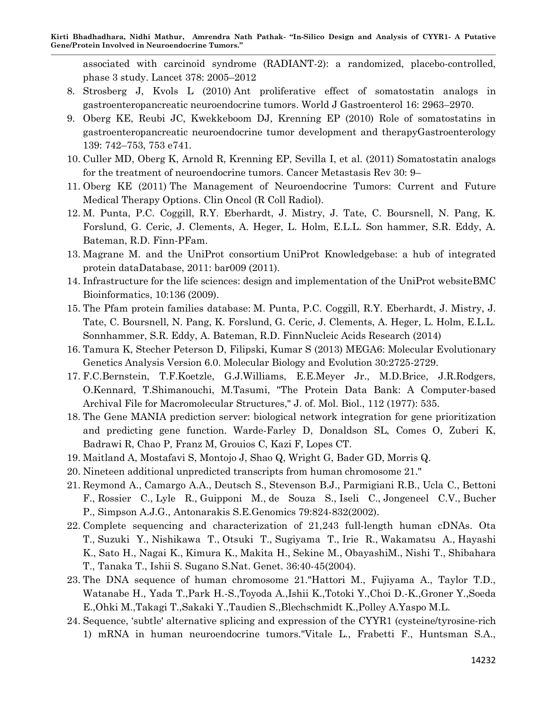associated with carcinoid syndrome (RADIANT-2): a randomized, placebo-controlled, phase 3 study. Lancet 378: 2005–2012

- 8. Strosberg J, Kvols L (2010) Ant proliferative effect of somatostatin analogs in gastroenteropancreatic neuroendocrine tumors. World J Gastroenterol 16: 2963–2970.
- 9. Oberg KE, Reubi JC, Kwekkeboom DJ, Krenning EP (2010) Role of somatostatins in gastroenteropancreatic neuroendocrine tumor development and therapyGastroenterology 139: 742–753, 753 e741.
- 10. Culler MD, Oberg K, Arnold R, Krenning EP, Sevilla I, et al. (2011) Somatostatin analogs for the treatment of neuroendocrine tumors. Cancer Metastasis Rev 30: 9–
- 11. Oberg KE (2011) The Management of Neuroendocrine Tumors: Current and Future Medical Therapy Options. Clin Oncol (R Coll Radiol).
- 12. M. Punta, P.C. Coggill, R.Y. Eberhardt, J. Mistry, J. Tate, C. Boursnell, N. Pang, K. Forslund, G. Ceric, J. Clements, A. Heger, L. Holm, E.L.L. Son hammer, S.R. Eddy, A. Bateman, R.D. Finn-PFam.
- 13. Magrane M. and the UniProt consortium UniProt Knowledgebase: a hub of integrated protein dat[aDatabase, 2011: bar009 \(2011\).](http://dx.doi.org/doi:10.1093/database/bar009)
- 14. Infrastructure for the life sciences: design and implementation of the UniProt websit[eBMC](http://dx.doi.org/doi:10.1186/1471-2105-10-136)  [Bioinformatics, 10:136 \(2009\).](http://dx.doi.org/doi:10.1186/1471-2105-10-136)
- 15. [The Pfam protein families database:](http://nar.oxfordjournals.org/content/42/D1/D222.long) M. Punta, P.C. Coggill, R.Y. Eberhardt, J. Mistry, J. Tate, C. Boursnell, N. Pang, K. Forslund, G. Ceric, J. Clements, A. Heger, L. Holm, E.L.L. Sonnhammer, S.R. Eddy, A. Bateman, R.D. FinnNucleic Acids Research (2014)
- 16. Tamura K, Stecher Peterson D, Filipski, Kumar S (2013) MEGA6: Molecular Evolutionary Genetics Analysis Version 6.0. Molecular Biology and Evolution 30:2725-2729.
- 17. F.C.Bernstein, T.F.Koetzle, G.J.Williams, E.E.Meyer Jr., M.D.Brice, J.R.Rodgers, O.Kennard, T.Shimanouchi, M.Tasumi, "The Protein Data Bank: A Computer-based Archival File for Macromolecular Structures," J. of. Mol. Biol., 112 (1977): 535.
- 18. The Gene MANIA prediction server: biological network integration for gene prioritization and predicting gene function. Warde-Farley D, Donaldson SL, Comes O, Zuberi K, Badrawi R, Chao P, Franz M, Grouios C, Kazi F, Lopes CT.
- 19. Maitland A, Mostafavi S, Montojo J, Shao Q, Wright G, Bader GD, Morris Q.
- 20. Nineteen additional unpredicted transcripts from human chromosome 21."
- 21. [Reymond A.,](http://www.uniprot.org/uniprot/?query=author:%22Reymond+A.%22) [Camargo A.A.,](http://www.uniprot.org/uniprot/?query=author:%22Camargo+A.A.%22) [Deutsch S.,](http://www.uniprot.org/uniprot/?query=author:%22Deutsch+S.%22) [Stevenson B.J.,](http://www.uniprot.org/uniprot/?query=author:%22Stevenson+B.J.%22) [Parmigiani R.B.,](http://www.uniprot.org/uniprot/?query=author:%22Parmigiani+R.B.%22) [Ucla C.,](http://www.uniprot.org/uniprot/?query=author:%22Ucla+C.%22) [Bettoni](http://www.uniprot.org/uniprot/?query=author:%22Bettoni+F.%22)  [F.,](http://www.uniprot.org/uniprot/?query=author:%22Bettoni+F.%22) [Rossier C.,](http://www.uniprot.org/uniprot/?query=author:%22Rossier+C.%22) [Lyle R.,](http://www.uniprot.org/uniprot/?query=author:%22Lyle+R.%22) [Guipponi M.,](http://www.uniprot.org/uniprot/?query=author:%22Guipponi+M.%22) [de Souza S.,](http://www.uniprot.org/uniprot/?query=author:%22de+Souza+S.%22) [Iseli C.,](http://www.uniprot.org/uniprot/?query=author:%22Iseli+C.%22) [Jongeneel C.V.,](http://www.uniprot.org/uniprot/?query=author:%22Jongeneel+C.V.%22) [Bucher](http://www.uniprot.org/uniprot/?query=author:%22Bucher+P.%22)  [P.,](http://www.uniprot.org/uniprot/?query=author:%22Bucher+P.%22) [Simpson A.J.G.,](http://www.uniprot.org/uniprot/?query=author:%22Simpson+A.J.G.%22) [Antonarakis S.E.Genomics 79:824-832\(2002\).](http://www.uniprot.org/uniprot/?query=author:%22Antonarakis+S.E.%22)
- 22. Complete sequencing and characterization of 21,243 full-length human cDNAs. [Ota](http://www.uniprot.org/uniprot/?query=author:%22Ota+T.%22)  [T.,](http://www.uniprot.org/uniprot/?query=author:%22Ota+T.%22) [Suzuki Y.,](http://www.uniprot.org/uniprot/?query=author:%22Suzuki+Y.%22) [Nishikawa T.,](http://www.uniprot.org/uniprot/?query=author:%22Nishikawa+T.%22) [Otsuki T.,](http://www.uniprot.org/uniprot/?query=author:%22Otsuki+T.%22) [Sugiyama T.,](http://www.uniprot.org/uniprot/?query=author:%22Sugiyama+T.%22) [Irie R.,](http://www.uniprot.org/uniprot/?query=author:%22Irie+R.%22) [Wakamatsu A.,](http://www.uniprot.org/uniprot/?query=author:%22Wakamatsu+A.%22) [Hayashi](http://www.uniprot.org/uniprot/?query=author:%22Hayashi+K.%22)  [K.,](http://www.uniprot.org/uniprot/?query=author:%22Hayashi+K.%22) [Sato H.,](http://www.uniprot.org/uniprot/?query=author:%22Sato+H.%22) [Nagai K.,](http://www.uniprot.org/uniprot/?query=author:%22Nagai+K.%22) [Kimura K.,](http://www.uniprot.org/uniprot/?query=author:%22Kimura+K.%22) [Makita H.,](http://www.uniprot.org/uniprot/?query=author:%22Makita+H.%22) [Sekine M.,](http://www.uniprot.org/uniprot/?query=author:%22Sekine+M.%22) [ObayashiM.,](http://www.uniprot.org/uniprot/?query=author:%22Obayashi+M.%22) [Nishi T.,](http://www.uniprot.org/uniprot/?query=author:%22Nishi+T.%22) [Shibahara](http://www.uniprot.org/uniprot/?query=author:%22Shibahara+T.%22)  [T.,](http://www.uniprot.org/uniprot/?query=author:%22Shibahara+T.%22) [Tanaka T.,](http://www.uniprot.org/uniprot/?query=author:%22Tanaka+T.%22) [Ishii S.](http://www.uniprot.org/uniprot/?query=author:%22Ishii+S.%22) [Sugano S.Nat. Genet. 36:40-45\(2004\).](http://www.uniprot.org/uniprot/?query=author:%22Sugano+S.%22)
- 23. The DNA sequence of human chromosome 21."Hattori M., Fujiyama A., Taylor T.D., Watanabe H., Yada T.,Park H.-S.,Toyoda A.,Ishii K.,Totoki Y.,Choi D.-K.,Groner Y.,Soeda E.,Ohki M.,Takagi T.,Sakaki Y.,Taudien S.,Blechschmidt K.,Polley A.Yaspo M.L.
- 24. Sequence, "subtle' alternative splicing and expression of the CYYR1 (cysteine/tyrosine-rich 1) mRNA in human neuroendocrine tumors."Vitale L., Frabetti F., Huntsman S.A.,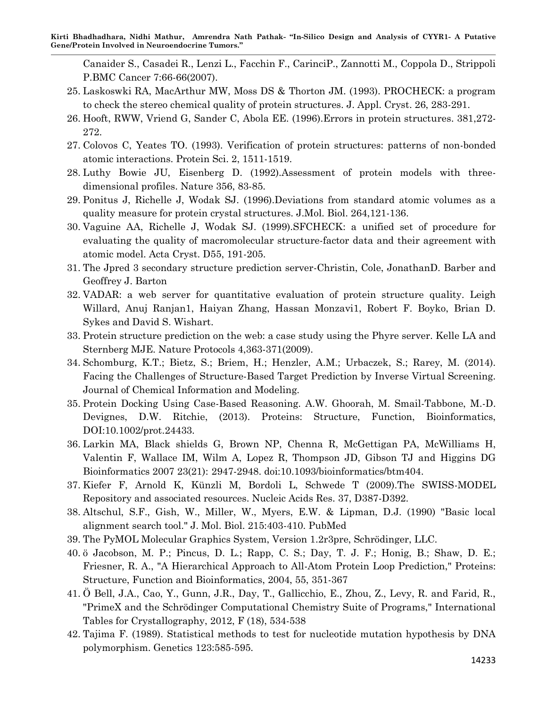Canaider S., Casadei R., Lenzi L., Facchin F., CarinciP., Zannotti M., Coppola D., Strippoli P.BMC Cancer 7:66-66(2007).

- 25. Laskoswki RA, MacArthur MW, Moss DS & Thorton JM. (1993). PROCHECK: a program to check the stereo chemical quality of protein structures. J. Appl. Cryst. 26, 283-291.
- 26. Hooft, RWW, Vriend G, Sander C, Abola EE. (1996).Errors in protein structures. 381,272- 272.
- 27. Colovos C, Yeates TO. (1993). Verification of protein structures: patterns of non-bonded atomic interactions. Protein Sci. 2, 1511-1519.
- 28. Luthy Bowie JU, Eisenberg D. (1992).Assessment of protein models with threedimensional profiles. Nature 356, 83-85.
- 29. Ponitus J, Richelle J, Wodak SJ. (1996).Deviations from standard atomic volumes as a quality measure for protein crystal structures. J.Mol. Biol. 264,121-136.
- 30. Vaguine AA, Richelle J, Wodak SJ. (1999).SFCHECK: a unified set of procedure for evaluating the quality of macromolecular structure-factor data and their agreement with atomic model. Acta Cryst. D55, 191-205.
- 31. The Jpred 3 secondary structure prediction server-Christin, Cole, JonathanD. Barber and Geoffrey J. Barton
- 32. VADAR: a web server for quantitative evaluation of protein structure quality. Leigh Willard, Anuj Ranjan1, Haiyan Zhang, Hassan Monzavi1, Robert F. Boyko, Brian D. Sykes and David S. Wishart.
- 33. Protein structure prediction on the web: a case study using the Phyre server. Kelle LA and Sternberg MJE. Nature Protocols 4,363-371(2009).
- 34. Schomburg, K.T.; Bietz, S.; Briem, H.; Henzler, A.M.; Urbaczek, S.; Rarey, M. (2014). Facing the Challenges of Structure-Based Target Prediction by Inverse Virtual Screening. Journal of Chemical Information and Modeling.
- 35. Protein Docking Using Case-Based Reasoning. A.W. Ghoorah, M. Smail-Tabbone, M.-D. Devignes, D.W. Ritchie, (2013). Proteins: Structure, Function, Bioinformatics, DOI:10.1002/prot.24433.
- 36. Larkin MA, Black shields G, Brown NP, Chenna R, McGettigan PA, McWilliams H, Valentin F, Wallace IM, Wilm A, Lopez R, Thompson JD, Gibson TJ and Higgins DG Bioinformatics 2007 23(21): 2947-2948. doi:10.1093/bioinformatics/btm404.
- 37. Kiefer F, Arnold K, Künzli M, Bordoli L, Schwede T (2009).The SWISS-MODEL Repository and associated resources. Nucleic Acids Res. 37, D387-D392.
- 38. Altschul, S.F., Gish, W., Miller, W., Myers, E.W. & Lipman, D.J. (1990) "Basic local alignment search tool." J. Mol. Biol. 215:403-410. PubMed
- 39. The PyMOL Molecular Graphics System, Version 1.2r3pre, Schrödinger, LLC.
- 40. ö Jacobson, M. P.; Pincus, D. L.; Rapp, C. S.; Day, T. J. F.; Honig, B.; Shaw, D. E.; Friesner, R. A., "A Hierarchical Approach to All-Atom Protein Loop Prediction," Proteins: Structure, Function and Bioinformatics, 2004, 55, 351-367
- 41. Ö Bell, J.A., Cao, Y., Gunn, J.R., Day, T., Gallicchio, E., Zhou, Z., Levy, R. and Farid, R., "PrimeX and the Schrödinger Computational Chemistry Suite of Programs," International Tables for Crystallography, 2012, F (18), 534-538
- 42. Tajima F. (1989). Statistical methods to test for nucleotide mutation hypothesis by DNA polymorphism. Genetics 123:585-595.